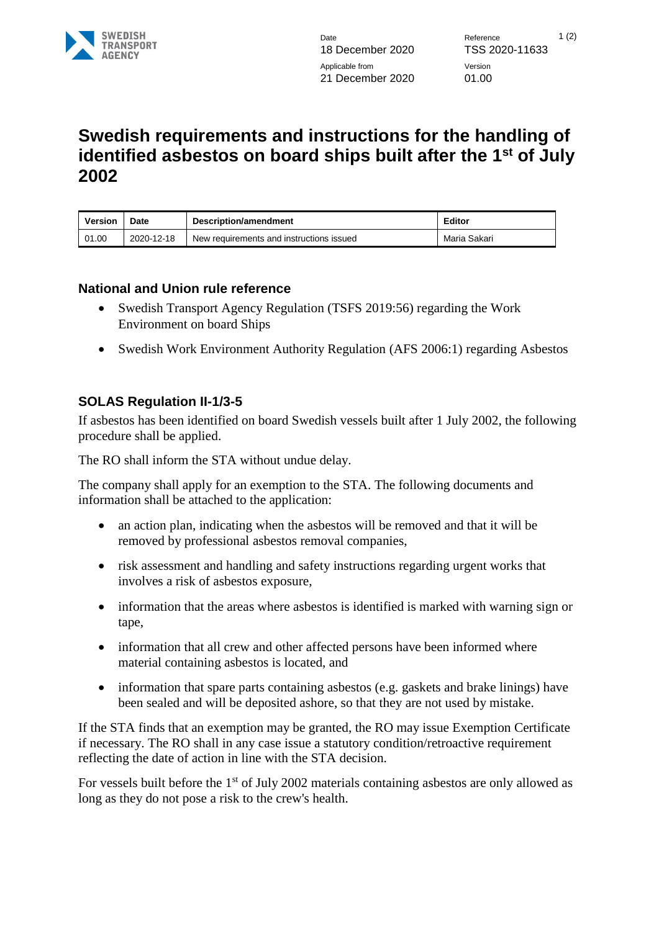

## **Swedish requirements and instructions for the handling of identified asbestos on board ships built after the 1st of July 2002**

| <b>Version</b> | Date       | Description/amendment                    | Editor       |
|----------------|------------|------------------------------------------|--------------|
| 01.00          | 2020-12-18 | New requirements and instructions issued | Maria Sakari |

## **National and Union rule reference**

- Swedish Transport Agency Regulation (TSFS 2019:56) regarding the Work Environment on board Ships
- Swedish Work Environment Authority Regulation (AFS 2006:1) regarding Asbestos

## **SOLAS Regulation II-1/3-5**

If asbestos has been identified on board Swedish vessels built after 1 July 2002, the following procedure shall be applied.

The RO shall inform the STA without undue delay.

The company shall apply for an exemption to the STA. The following documents and information shall be attached to the application:

- an action plan, indicating when the asbestos will be removed and that it will be removed by professional asbestos removal companies,
- risk assessment and handling and safety instructions regarding urgent works that involves a risk of asbestos exposure,
- information that the areas where asbestos is identified is marked with warning sign or tape,
- information that all crew and other affected persons have been informed where material containing asbestos is located, and
- information that spare parts containing asbestos (e.g. gaskets and brake linings) have been sealed and will be deposited ashore, so that they are not used by mistake.

If the STA finds that an exemption may be granted, the RO may issue Exemption Certificate if necessary. The RO shall in any case issue a statutory condition/retroactive requirement reflecting the date of action in line with the STA decision.

For vessels built before the 1<sup>st</sup> of July 2002 materials containing asbestos are only allowed as long as they do not pose a risk to the crew's health.